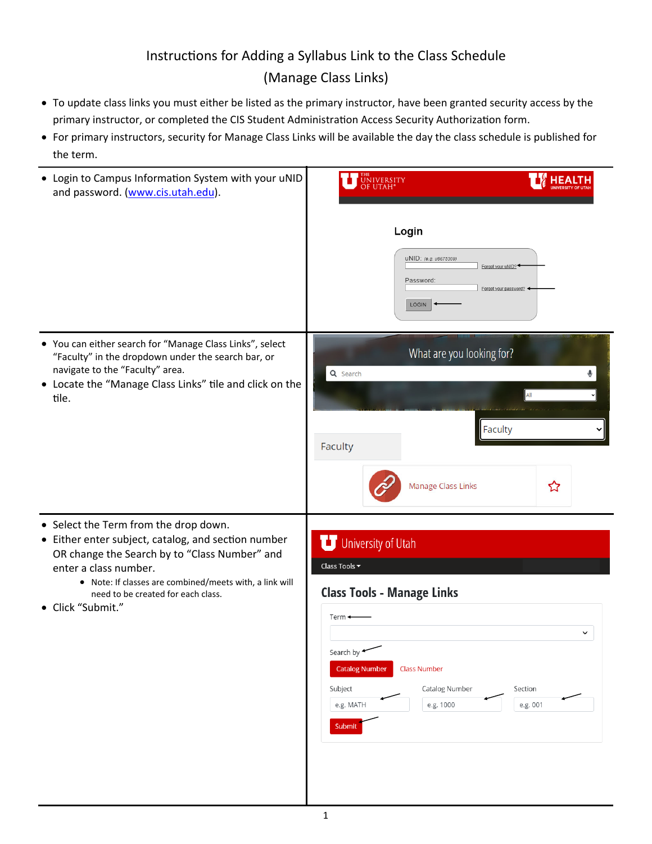## Instructions for Adding a Syllabus Link to the Class Schedule (Manage Class Links)

- To update class links you must either be listed as the primary instructor, have been granted security access by the primary instructor, or completed the CIS Student Administration Access Security Authorization form.
- For primary instructors, security for Manage Class Links will be available the day the class schedule is published for the term.

| • Login to Campus Information System with your uNID<br>and password. (www.cis.utah.edu).                                                                                                                                                                                                     | <b>UNIVERSITY</b>                                                                                                                                                                                                                                                            |
|----------------------------------------------------------------------------------------------------------------------------------------------------------------------------------------------------------------------------------------------------------------------------------------------|------------------------------------------------------------------------------------------------------------------------------------------------------------------------------------------------------------------------------------------------------------------------------|
|                                                                                                                                                                                                                                                                                              | Login                                                                                                                                                                                                                                                                        |
|                                                                                                                                                                                                                                                                                              | UNID: (e.g. u8675309)<br>Forgot your uNID?<br>Password<br>Forgot your password?<br>LOGIN                                                                                                                                                                                     |
| • You can either search for "Manage Class Links", select<br>"Faculty" in the dropdown under the search bar, or<br>navigate to the "Faculty" area.<br>• Locate the "Manage Class Links" tile and click on the<br>tile.                                                                        | What are you looking for?<br>Q Search                                                                                                                                                                                                                                        |
|                                                                                                                                                                                                                                                                                              | All                                                                                                                                                                                                                                                                          |
|                                                                                                                                                                                                                                                                                              | Faculty<br>Faculty                                                                                                                                                                                                                                                           |
|                                                                                                                                                                                                                                                                                              | ☆<br>Manage Class Links                                                                                                                                                                                                                                                      |
| • Select the Term from the drop down.<br>• Either enter subject, catalog, and section number<br>OR change the Search by to "Class Number" and<br>enter a class number.<br>• Note: If classes are combined/meets with, a link will<br>need to be created for each class.<br>• Click "Submit." | University of Utah<br>Class Tools $\blacktriangledown$<br><b>Class Tools - Manage Links</b><br>$Term -$<br>$\checkmark$<br>Search by<br><b>Catalog Number</b><br><b>Class Number</b><br>Catalog Number<br>Subject<br>Section<br>e.g. MATH<br>e.g. 1000<br>e.g. 001<br>Submit |